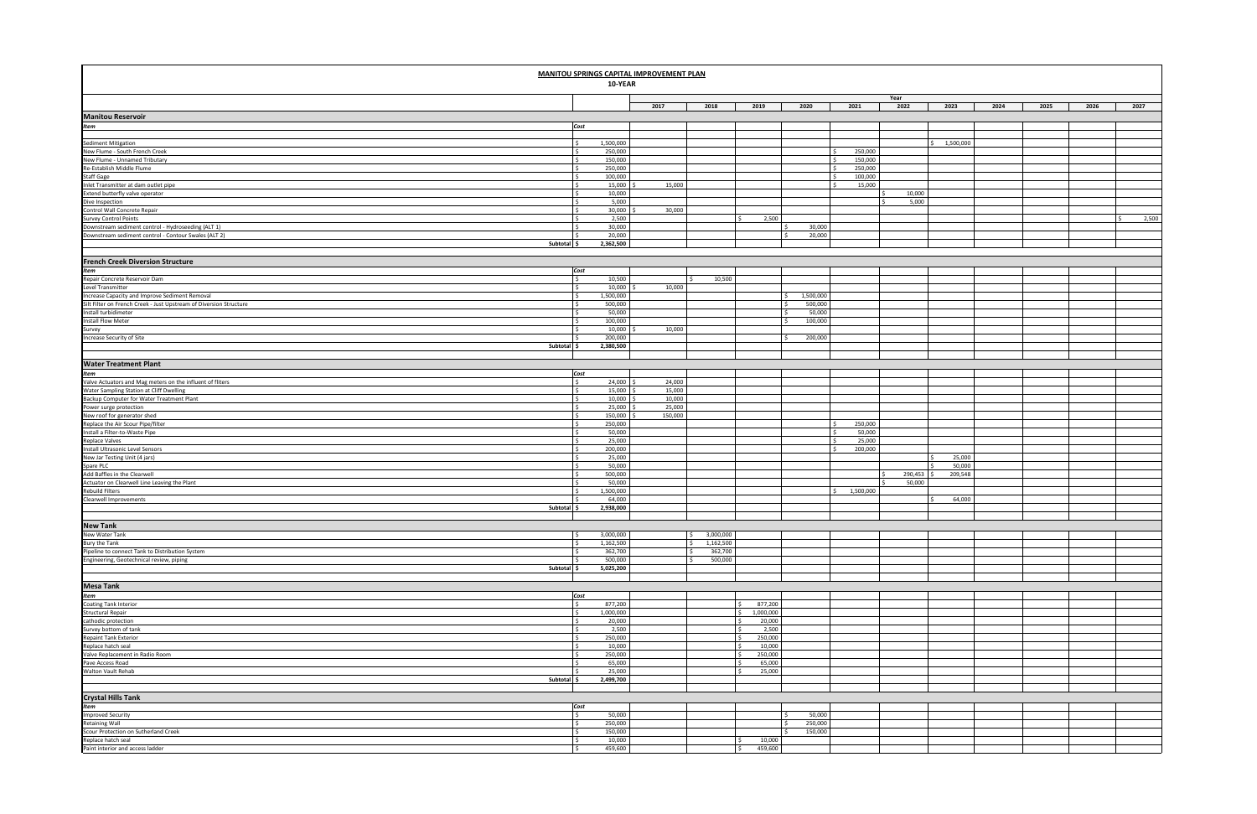|                                                                                                                         | 10-YEAR              | <b>MANITOU SPRINGS CAPITAL IMPROVEMENT PLAN</b> |                                             |                                          |           |                    |              |                 |      |      |                  |
|-------------------------------------------------------------------------------------------------------------------------|----------------------|-------------------------------------------------|---------------------------------------------|------------------------------------------|-----------|--------------------|--------------|-----------------|------|------|------------------|
|                                                                                                                         |                      | 2017                                            | 2018                                        | 2019                                     | 2020      | 2021               | Year<br>2022 | 2023            | 2024 | 2025 | 2026<br>2027     |
| <b>Manitou Reservoir</b>                                                                                                |                      |                                                 |                                             |                                          |           |                    |              |                 |      |      |                  |
| Item<br>Cost                                                                                                            |                      |                                                 |                                             |                                          |           |                    |              |                 |      |      |                  |
|                                                                                                                         |                      |                                                 |                                             |                                          |           |                    |              |                 |      |      |                  |
| Sediment Mitigation<br>l \$                                                                                             | 1,500,000            |                                                 |                                             |                                          |           |                    |              | 1,500,000<br>Š. |      |      |                  |
| New Flume - South French Creek<br>l \$                                                                                  | 250,000              |                                                 |                                             |                                          |           | 250,000            |              |                 |      |      |                  |
| New Flume - Unnamed Tributary<br>l s<br>Re-Establish Middle Flume<br>l S                                                | 150,000<br>250,000   |                                                 |                                             |                                          |           | 150,000            |              |                 |      |      |                  |
| Staff Gage<br>I\$                                                                                                       | 100,000              |                                                 |                                             |                                          |           | 250,000<br>100,000 |              |                 |      |      |                  |
| Inlet Transmitter at dam outlet pipe<br>l s                                                                             | 15,000               | 15,000                                          |                                             |                                          |           | 15,000             |              |                 |      |      |                  |
| Extend butterfly valve operator<br>l s                                                                                  | 10,000               |                                                 |                                             |                                          |           |                    | 10,000       |                 |      |      |                  |
| Dive Inspection<br>-S                                                                                                   | 5,000                |                                                 |                                             |                                          |           |                    | 5,000        |                 |      |      |                  |
| Control Wall Concrete Repair<br>l s                                                                                     | 30,000               | 30,000                                          |                                             |                                          |           |                    |              |                 |      |      |                  |
| <b>Survey Control Points</b><br>I \$                                                                                    | 2,500                |                                                 |                                             | 2,500<br>$\sim$                          |           |                    |              |                 |      |      | 2,500<br>$\zeta$ |
| Downstream sediment control - Hydroseeding (ALT 1)<br>Downstream sediment control - Contour Swales (ALT 2)              | 30,000               |                                                 |                                             |                                          | 30,000    |                    |              |                 |      |      |                  |
| ΙŚ.<br>Subtotal \$                                                                                                      | 20,000<br>2,362,500  |                                                 |                                             |                                          | 20,000    |                    |              |                 |      |      |                  |
|                                                                                                                         |                      |                                                 |                                             |                                          |           |                    |              |                 |      |      |                  |
| <b>French Creek Diversion Structure</b>                                                                                 |                      |                                                 |                                             |                                          |           |                    |              |                 |      |      |                  |
| Cost                                                                                                                    |                      |                                                 |                                             |                                          |           |                    |              |                 |      |      |                  |
| Item<br>Repair Concrete Reservoir Dam<br>Level Transmitter<br>l S                                                       | 10,500               |                                                 | 10,500                                      |                                          |           |                    |              |                 |      |      |                  |
| l \$                                                                                                                    | 10,000               | 10,000                                          |                                             |                                          |           |                    |              |                 |      |      |                  |
| Increase Capacity and Improve Sediment Removal<br>l \$                                                                  | 1,500,000            |                                                 |                                             |                                          | 1,500,000 |                    |              |                 |      |      |                  |
| Silt Filter on French Creek - Just Upstream of Diversion Structure<br>l \$                                              | 500,000              |                                                 |                                             |                                          | 500,000   |                    |              |                 |      |      |                  |
| Install turbidimeter<br>I\$                                                                                             | 50,000               |                                                 |                                             |                                          | 50,000    |                    |              |                 |      |      |                  |
| <b>Install Flow Meter</b><br>l \$                                                                                       | 100,000              |                                                 |                                             |                                          | 100,000   |                    |              |                 |      |      |                  |
| Survey<br>I \$                                                                                                          | 10,000               | 10,000                                          |                                             |                                          |           |                    |              |                 |      |      |                  |
| Increase Security of Site<br>I \$<br>Subtotal \$                                                                        | 200,000<br>2,380,500 |                                                 |                                             |                                          | 200,000   |                    |              |                 |      |      |                  |
|                                                                                                                         |                      |                                                 |                                             |                                          |           |                    |              |                 |      |      |                  |
| <b>Water Treatment Plant</b>                                                                                            |                      |                                                 |                                             |                                          |           |                    |              |                 |      |      |                  |
| Item                                                                                                                    | Cost                 |                                                 |                                             |                                          |           |                    |              |                 |      |      |                  |
| Valve Actuators and Mag meters on the influent of fliters<br>l \$                                                       | 24,000               | 24,000                                          |                                             |                                          |           |                    |              |                 |      |      |                  |
| Water Sampling Station at Cliff Dwelling<br>I\$                                                                         | 15,000               | 15,000                                          |                                             |                                          |           |                    |              |                 |      |      |                  |
| l \$                                                                                                                    | 10,000               | 10,000                                          |                                             |                                          |           |                    |              |                 |      |      |                  |
| l s                                                                                                                     | 25,000               | 25,000                                          |                                             |                                          |           |                    |              |                 |      |      |                  |
| Backup Computer for Water Treatment Plant<br>Power surge protection<br>New roof for generator shed<br>$\mathsf{S}$      | 150,000              | 150,000                                         |                                             |                                          |           |                    |              |                 |      |      |                  |
| Replace the Air Scour Pipe/filter<br>Install a Filter-to-Waste Pipe<br>l s                                              | 250,000              |                                                 |                                             |                                          |           | 250,000            |              |                 |      |      |                  |
| l \$                                                                                                                    | 50,000               |                                                 |                                             |                                          |           | 50,000             |              |                 |      |      |                  |
| <b>Replace Valves</b><br>l s<br>Install Ultrasonic Level Sensors                                                        | 25,000<br>200,000    |                                                 |                                             |                                          |           | 25,000<br>200,000  |              |                 |      |      |                  |
| I\$<br>New Jar Testing Unit (4 jars)                                                                                    | 25,000               |                                                 |                                             |                                          |           |                    |              | 25,000          |      |      |                  |
| Spare PLC<br>l \$                                                                                                       | 50,000               |                                                 |                                             |                                          |           |                    |              | 50,000          |      |      |                  |
| Add Baffles in the Clearwell<br>l s                                                                                     | 500,000              |                                                 |                                             |                                          |           |                    | 290,453      | 209,548         |      |      |                  |
| Actuator on Clearwell Line Leaving the Plant                                                                            | 50,000               |                                                 |                                             |                                          |           |                    | 50,000       |                 |      |      |                  |
| <b>Rebuild Filters</b><br>ΙŚ.                                                                                           | 1,500,000            |                                                 |                                             |                                          |           | 1,500,000          |              |                 |      |      |                  |
| Clearwell Improvements                                                                                                  | 64,000               |                                                 |                                             |                                          |           |                    |              | 64,000          |      |      |                  |
| Subtotal \$                                                                                                             | 2,938,000            |                                                 |                                             |                                          |           |                    |              |                 |      |      |                  |
|                                                                                                                         |                      |                                                 |                                             |                                          |           |                    |              |                 |      |      |                  |
| <b>New Tank</b>                                                                                                         |                      |                                                 |                                             |                                          |           |                    |              |                 |      |      |                  |
| New Water Tank<br>I\$                                                                                                   | 3,000,000            |                                                 | 3,000,000<br>$\mathsf{S}$                   |                                          |           |                    |              |                 |      |      |                  |
| <b>Bury the Tank</b><br>l \$<br>l s                                                                                     | 1,162,500<br>362,700 |                                                 | 1,162,500<br>$\mathsf{S}$<br>362,700<br>l s |                                          |           |                    |              |                 |      |      |                  |
| Pipeline to connect Tank to Distribution System<br>Engineering, Geotechnical review, piping<br>Is.                      | 500,000              |                                                 | 500,000<br>ΙŚ.                              |                                          |           |                    |              |                 |      |      |                  |
| Subtotal \$                                                                                                             | 5,025,200            |                                                 |                                             |                                          |           |                    |              |                 |      |      |                  |
|                                                                                                                         |                      |                                                 |                                             |                                          |           |                    |              |                 |      |      |                  |
| Mesa Tank<br>Item                                                                                                       |                      |                                                 |                                             |                                          |           |                    |              |                 |      |      |                  |
|                                                                                                                         | Cost                 |                                                 |                                             |                                          |           |                    |              |                 |      |      |                  |
| <b>Coating Tank Interior</b><br>Structural Repair<br>l \$                                                               | 877,200              |                                                 |                                             | 877,200<br>l s                           |           |                    |              |                 |      |      |                  |
| I \$                                                                                                                    | 1,000,000            |                                                 |                                             | 1,000,000<br>I \$                        |           |                    |              |                 |      |      |                  |
| cathodic protection<br>l s                                                                                              | 20,000               |                                                 |                                             | 20,000<br>ΙŚ                             |           |                    |              |                 |      |      |                  |
| Survey bottom of tank<br>Repaint Tank Exterior<br>Replace hatch seal<br>Valve Replacement in Radio Room<br>$\mathsf{S}$ | 2,500                |                                                 |                                             | l s<br>2,500                             |           |                    |              |                 |      |      |                  |
| l s                                                                                                                     | 250,000              |                                                 |                                             | 250,000<br>$\mathsf{I}$                  |           |                    |              |                 |      |      |                  |
| l \$<br>l s                                                                                                             | 10,000<br>250,000    |                                                 |                                             | 10,000<br>$\mathsf{I}$<br>250,000<br>l s |           |                    |              |                 |      |      |                  |
| Pave Access Road<br>I \$                                                                                                | 65,000               |                                                 |                                             | 65,000<br>l <                            |           |                    |              |                 |      |      |                  |
| Walton Vault Rehab<br>l s                                                                                               | 25,000               |                                                 |                                             | 25,000<br>I \$                           |           |                    |              |                 |      |      |                  |
| Subtotal \$                                                                                                             | 2,499,700            |                                                 |                                             |                                          |           |                    |              |                 |      |      |                  |
|                                                                                                                         |                      |                                                 |                                             |                                          |           |                    |              |                 |      |      |                  |
| Crystal Hills Tank<br>Item                                                                                              |                      |                                                 |                                             |                                          |           |                    |              |                 |      |      |                  |
|                                                                                                                         | Cost                 |                                                 |                                             |                                          |           |                    |              |                 |      |      |                  |
| Improved Security<br>Retaining Wall<br>l \$                                                                             | 50,000               |                                                 |                                             |                                          | 50,000    |                    |              |                 |      |      |                  |
| $\frac{1}{2}$                                                                                                           | 250,000              |                                                 |                                             |                                          | 250,000   |                    |              |                 |      |      |                  |
| Scour Protection on Sutherland Creek<br>l s                                                                             | 150,000              |                                                 |                                             |                                          | 150,000   |                    |              |                 |      |      |                  |
| Replace hatch seal<br>Paint interior and access ladder<br>l \$                                                          | 10,000               |                                                 |                                             | 10,000                                   |           |                    |              |                 |      |      |                  |
| I\$                                                                                                                     | 459,600              |                                                 |                                             | 459,600<br>l s                           |           |                    |              |                 |      |      |                  |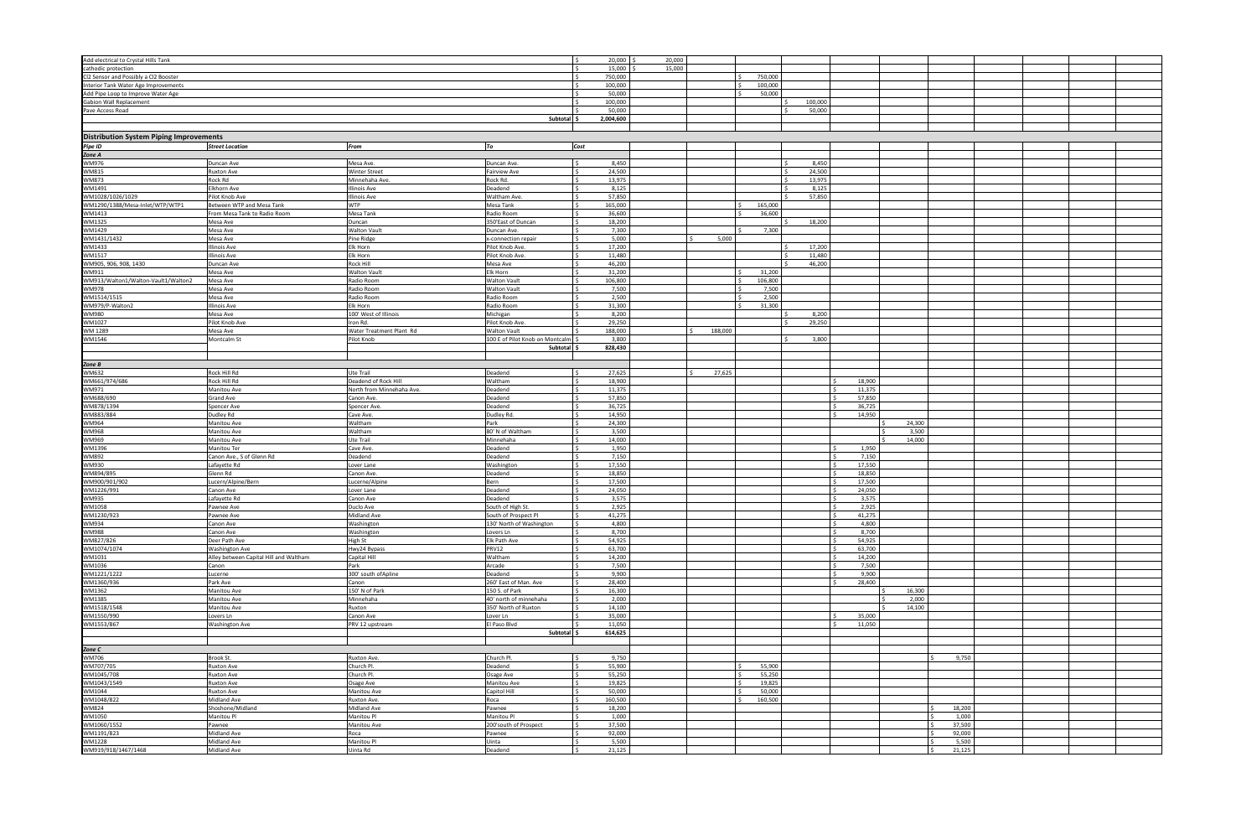| Add electrical to Crystal Hills Tank           |                                        |                           |                                 | 20,000<br>I\$           | 20,000 |         |                    |         |        |        |        |  |
|------------------------------------------------|----------------------------------------|---------------------------|---------------------------------|-------------------------|--------|---------|--------------------|---------|--------|--------|--------|--|
| cathodic protection                            |                                        |                           |                                 | 15,000<br>-Ś.           | 15,000 |         |                    |         |        |        |        |  |
| Cl2 Sensor and Possibly a Cl2 Booster          |                                        |                           |                                 | l s<br>750,000          |        |         | 750,000            |         |        |        |        |  |
| Interior Tank Water Age Improvements           |                                        |                           |                                 | 100,000<br>$\sim$       |        |         | 100,000<br>$\zeta$ |         |        |        |        |  |
| Add Pipe Loop to Improve Water Age             |                                        |                           |                                 | 50,000                  |        |         | 50,000             |         |        |        |        |  |
| Gabion Wall Replacement                        |                                        |                           |                                 | 100,000                 |        |         |                    | 100,000 |        |        |        |  |
| Pave Access Road                               |                                        |                           |                                 | 50,000                  |        |         |                    | 50,000  |        |        |        |  |
|                                                |                                        |                           | Subtotal S                      |                         |        |         |                    |         |        |        |        |  |
|                                                |                                        |                           |                                 | 2,004,600               |        |         |                    |         |        |        |        |  |
|                                                |                                        |                           |                                 |                         |        |         |                    |         |        |        |        |  |
| <b>Distribution System Piping Improvements</b> |                                        |                           |                                 |                         |        |         |                    |         |        |        |        |  |
| Pipe ID                                        | <b>Street Location</b>                 | From                      | To                              | Cost                    |        |         |                    |         |        |        |        |  |
| Zone A                                         |                                        |                           |                                 |                         |        |         |                    |         |        |        |        |  |
| WM976                                          | Duncan Ave                             | Mesa Ave.                 | Duncan Ave                      | l s<br>8,450            |        |         |                    | 8,450   |        |        |        |  |
| WM815                                          | <b>Ruxton Ave</b>                      | <b>Winter Street</b>      | <b>Fairview Ave</b>             | 24,500<br>l s           |        |         |                    | 24,500  |        |        |        |  |
| WM873                                          | Rock Rd                                | Minnehaha Ave.            | Rock Rd.                        | 13,975                  |        |         |                    | 13,975  |        |        |        |  |
|                                                |                                        |                           |                                 |                         |        |         |                    |         |        |        |        |  |
| WM1491                                         | Elkhorn Ave                            | Illinois Ave              | Deadend                         | 8,125                   |        |         |                    | 8,125   |        |        |        |  |
| WM1028/1026/1029                               | Pilot Knob Ave                         | Illinois Ave              | Waltham Ave                     | l s<br>57,850           |        |         |                    | 57,850  |        |        |        |  |
| WM1290/1388/Mesa-Inlet/WTP/WTP1                | Between WTP and Mesa Tank              | <b>WTP</b>                | Mesa Tank                       | 165,000<br>∣ <          |        |         | 165,000            |         |        |        |        |  |
| WM1413                                         | From Mesa Tank to Radio Room           | Mesa Tank                 | Radio Room                      | 36,600                  |        |         | 36,600             |         |        |        |        |  |
| WM1325                                         | Mesa Ave                               | Duncan                    | 350'East of Duncan              | 18,200                  |        |         |                    | 18,200  |        |        |        |  |
| WM1429                                         | Mesa Ave                               | <b>Walton Vault</b>       | Duncan Ave.                     | 7,300<br>ΙŚ             |        |         | 7,300              |         |        |        |        |  |
| WM1431/1432                                    | Mesa Ave                               | Pine Ridge                | x-connection repair             | 5,000                   |        | 5,000   |                    |         |        |        |        |  |
| WM1433                                         | <b>Illinois Ave</b>                    | Elk Horn                  | Pilot Knob Ave                  | 17,200                  |        |         |                    | 17,200  |        |        |        |  |
| WM1517                                         | <b>Illinois Ave</b>                    | Elk Horn                  | Pilot Knob Ave                  | I\$<br>11,480           |        |         |                    | 11,480  |        |        |        |  |
|                                                |                                        |                           |                                 |                         |        |         |                    |         |        |        |        |  |
| WM905, 906, 908, 1430                          | Duncan Ave                             | Rock Hill                 | Mesa Ave                        | 46,200<br>-S            |        |         |                    | 46,200  |        |        |        |  |
| WM911                                          | Mesa Ave                               | Walton Vault              | Elk Horn                        | 31,200                  |        |         | 31,200             |         |        |        |        |  |
| WM913/Walton1/Walton-Vault1/Walton2            | Mesa Ave                               | Radio Room                | <b>Walton Vault</b>             | 106,800                 |        |         | 106,800            |         |        |        |        |  |
| WM978                                          | Mesa Ave                               | Radio Room                | <b>Walton Vault</b>             | 7,500<br>l S            |        |         | 7,500              |         |        |        |        |  |
| WM1514/1515                                    | Mesa Ave                               | Radio Room                | Radio Room                      | 2,500                   |        |         | 2,500              |         |        |        |        |  |
| WM979/P-Walton2                                | <b>Illinois Ave</b>                    | Elk Horn                  | Radio Room                      | 31,300                  |        |         | 31,300             |         |        |        |        |  |
| WM980                                          | Mesa Ave                               | 100' West of Illinois     | Michigan                        | 8,200                   |        |         |                    | 8,200   |        |        |        |  |
| WM1027                                         | Pilot Knob Ave                         | Iron Rd.                  | Pilot Knob Ave                  | 29,250<br>l S           |        |         |                    | 29,250  |        |        |        |  |
| WM 1289                                        | Mesa Ave                               | Water Treatment Plant Rd  | Walton Vault                    | 188,000                 |        | 188,000 |                    |         |        |        |        |  |
|                                                | Montcalm St                            | Pilot Knob                | 100 E of Pilot Knob on Montcalm | 3,800                   |        |         |                    | 3,800   |        |        |        |  |
| WM1546                                         |                                        |                           |                                 |                         |        |         |                    |         |        |        |        |  |
|                                                |                                        |                           | <b>Subtotal</b>                 | 828,430                 |        |         |                    |         |        |        |        |  |
|                                                |                                        |                           |                                 |                         |        |         |                    |         |        |        |        |  |
| Zone B                                         |                                        |                           |                                 |                         |        |         |                    |         |        |        |        |  |
| WM632                                          | Rock Hill Rd                           | Ute Trail                 | Deadend                         | 27,625<br>l S           |        | 27,625  |                    |         |        |        |        |  |
| WM661/974/686                                  | Rock Hill Rd                           | Deadend of Rock Hill      | Waltham                         | 18,900<br>l s           |        |         |                    |         | 18,900 |        |        |  |
| WM971                                          | Manitou Ave                            | North from Minnehaha Ave. | Deadend                         | 11,375                  |        |         |                    |         | 11,375 |        |        |  |
| WM688/690                                      | <b>Grand Ave</b>                       | Canon Ave.                | Deadend                         | 57,850                  |        |         |                    |         | 57,850 |        |        |  |
| WM878/1394                                     | Spencer Ave                            | Spencer Ave               | Deadend                         | 36,725<br>۱¢            |        |         |                    |         | 36,725 |        |        |  |
| WM883/884                                      | Dudley Rd                              | Cave Ave.                 | Dudley Rd.                      | 14,950<br>-S            |        |         |                    |         | 14,950 |        |        |  |
|                                                |                                        |                           |                                 |                         |        |         |                    |         |        |        |        |  |
| WM964                                          | Manitou Ave                            | Waltham                   | Park                            | 24,300                  |        |         |                    |         |        | 24,300 |        |  |
| WM968                                          | Manitou Ave                            | Waltham                   | 80' N of Waltham                | 3,500                   |        |         |                    |         |        | 3,500  |        |  |
| WM969                                          | Manitou Ave                            | Ute Trail                 | Minnehaha                       | 14,000<br>$\zeta$       |        |         |                    |         |        | 14,000 |        |  |
| WM1396                                         | Manitou Ter                            | Cave Ave.                 | Deadend                         | 1,950                   |        |         |                    |         | 1,950  |        |        |  |
| WM892                                          | Canon Ave., S of Glenn Rd              | Deadend                   | Deadend                         | 7,150                   |        |         |                    |         | 7,150  |        |        |  |
| WM930                                          | Lafayette Rd                           | Lover Lane                | Washingtor                      | 17,550<br>$\sim$        |        |         |                    |         | 17,550 |        |        |  |
| WM894/895                                      | Glenn Rd                               | Canon Ave.                | Deadend                         | 18,850<br>l S           |        |         |                    |         | 18,850 |        |        |  |
| WM900/901/902                                  | Lucern/Alpine/Bern                     | Lucerne/Alpine            | Bern                            | 17,500                  |        |         |                    |         | 17,500 |        |        |  |
| WM1226/991                                     | Canon Ave                              | Lover Lane                | Deadend                         | 24,050                  |        |         |                    |         | 24,050 |        |        |  |
|                                                | Lafayette Rd                           | Canon Ave                 | Deadend                         | 3,575<br>ΙŚ             |        |         |                    |         |        |        |        |  |
| WM935                                          |                                        |                           |                                 |                         |        |         |                    |         | 3,575  |        |        |  |
| WM1058                                         | Pawnee Ave                             | Duclo Ave                 | South of High St.               | 2,925<br>l \$           |        |         |                    |         | 2,925  |        |        |  |
| WM1230/923                                     | Pawnee Ave                             | Midland Ave               | South of Prospect Pl            | $\frac{1}{2}$<br>41,275 |        |         |                    |         | 41,275 |        |        |  |
| WM934                                          | Canon Ave                              | Washington                | 130' North of Washington        | 4,800<br>l s            |        |         |                    |         | 4,800  |        |        |  |
| WM988                                          | Canon Ave                              | Washington                | Lovers Ln                       | 8,700                   |        |         |                    |         | 8,700  |        |        |  |
| WM827/826                                      | Deer Path Ave                          | High St                   | Elk Path Ave                    | 54,925                  |        |         |                    |         | 54,925 |        |        |  |
| WM1074/1074                                    | <b>Washington Ave</b>                  | Hwy24 Bypass              | <b>PRV12</b>                    | 63,700                  |        |         |                    |         | 63,700 |        |        |  |
| WM1031                                         | Alley between Capital Hill and Waltham | Capital Hill              | Waltham                         | 14,200                  |        |         |                    |         | 14,200 |        |        |  |
| WM1036                                         | Canon                                  | Park                      | Arcade                          | 7,500                   |        |         |                    |         | 7,500  |        |        |  |
| WM1221/1222                                    | Lucerne                                | 300' south of Apline      | Deadend                         | 9,900                   |        |         |                    |         | 9,900  |        |        |  |
| WM1360/936                                     | Park Ave                               | Canon                     | 260' East of Man. Ave           | 28,400                  |        |         |                    |         | 28,400 |        |        |  |
|                                                |                                        |                           |                                 |                         |        |         |                    |         |        |        |        |  |
| WM1362                                         | Manitou Ave                            | 150' N of Park            | 150 S. of Park                  | 16,300                  |        |         |                    |         |        | 16,300 |        |  |
| WM1385                                         | Manitou Ave                            | Minnehaha                 | 40' north of minnehaha          | 2,000                   |        |         |                    |         |        | 2,000  |        |  |
| WM1518/1548                                    | Manitou Ave                            | Ruxton                    | 350' North of Ruxton            | 14,100                  |        |         |                    |         |        | 14,100 |        |  |
| WM1550/990                                     | Lovers Ln                              | Canon Ave                 | Lover Ln                        | 35,000                  |        |         |                    |         | 35,000 |        |        |  |
| WM1553/867                                     | <b>Washington Ave</b>                  | PRV 12 upstream           | El Paso Blvd                    | 11,050<br>l S           |        |         |                    |         | 11,050 |        |        |  |
|                                                |                                        |                           | Subtotal \$                     | 614,625                 |        |         |                    |         |        |        |        |  |
|                                                |                                        |                           |                                 |                         |        |         |                    |         |        |        |        |  |
| Zone C                                         |                                        |                           |                                 |                         |        |         |                    |         |        |        |        |  |
| WM706                                          | Brook St.                              | Ruxton Ave.               | Church Pl.                      | 9,750<br>۱Ś             |        |         |                    |         |        |        | 9,750  |  |
|                                                | <b>Ruxton Ave</b>                      | Church Pl.                | Deadend                         | 55,900<br>S.            |        |         | 55,900             |         |        |        |        |  |
| WM707/705                                      |                                        |                           |                                 |                         |        |         | l s                |         |        |        |        |  |
| WM1045/708                                     | <b>Ruxton Ave</b>                      | Church Pl.                | Osage Ave                       | 55,250<br>S.            |        |         | 55,250             |         |        |        |        |  |
| WM1043/1549                                    | <b>Ruxton Ave</b>                      | Osage Ave                 | Manitou Ave                     | 19,825                  |        |         | 19,825             |         |        |        |        |  |
| WM1044                                         | Ruxton Ave                             | Manitou Ave               | Capitol Hill                    | 50,000<br>-Ś            |        |         | 50,000<br>-Ś       |         |        |        |        |  |
| WM1048/822                                     | Midland Ave                            | Ruxton Ave.               | Roca                            | 160,500                 |        |         | 160,500<br>$\zeta$ |         |        |        |        |  |
| <b>WM824</b>                                   | Shoshone/Midland                       | Midland Ave               | Pawnee                          | 18,200                  |        |         |                    |         |        |        | 18,200 |  |
| WM1050                                         | Manitou Pl                             | Manitou Pl                | Manitou Pl                      | 1,000                   |        |         |                    |         |        |        | 1,000  |  |
| WM1060/1552                                    | Pawnee                                 | Manitou Ave               | 200'south of Prospect           | 37,500                  |        |         |                    |         |        |        | 37,500 |  |
| WM1191/823                                     | Midland Ave                            | Roca                      | Pawnee                          | 92,000                  |        |         |                    |         |        |        | 92,000 |  |
| WM1228                                         | Midland Ave                            | Manitou Pl                | Uinta                           | 5,500<br>ΙŚ             |        |         |                    |         |        |        | 5,500  |  |
|                                                | Midland Ave                            |                           |                                 |                         |        |         |                    |         |        |        | 21,125 |  |
| WM919/918/1467/1468                            |                                        | Uinta Rd                  | Deadend                         | 21,125                  |        |         |                    |         |        |        |        |  |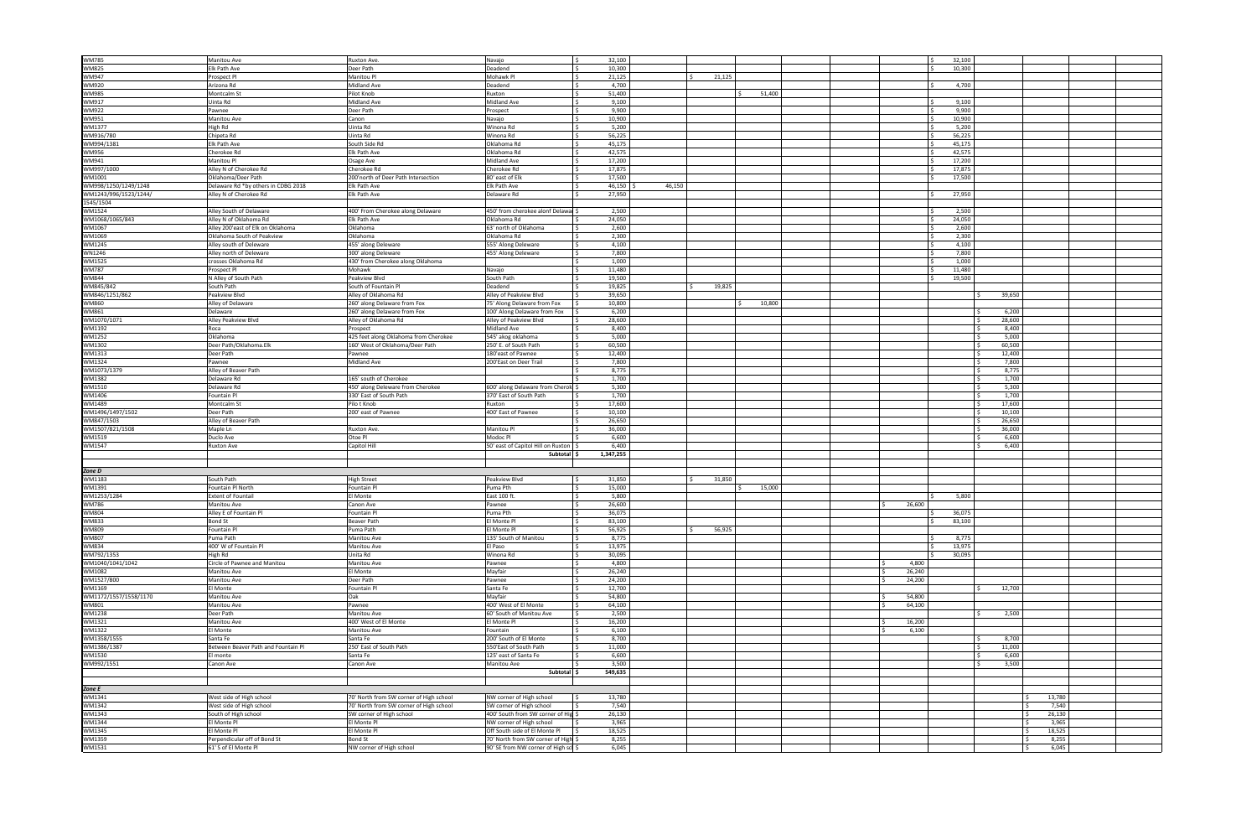| <b>WM785</b>          | Manitou Ave                         | Ruxton Ave.                             | Navajo<br>ΙŚ.                       | 32,100                  |        |        |        | 32,100 |                  |        |  |
|-----------------------|-------------------------------------|-----------------------------------------|-------------------------------------|-------------------------|--------|--------|--------|--------|------------------|--------|--|
| WM825                 | Elk Path Ave                        | Deer Path                               | Deadend                             | 10,300                  |        |        |        | 10,300 |                  |        |  |
| WM947                 | Prospect Pl                         | Manitou Pl                              | Mohawk Pl<br>-Ś.                    | 21,125                  | 21,125 |        |        |        |                  |        |  |
| WM920                 | Arizona Rd                          | Midland Ave                             | Deadend                             | 4,700                   |        |        |        | 4.700  |                  |        |  |
|                       |                                     |                                         |                                     |                         |        |        |        |        |                  |        |  |
| WM985                 | Montcalm St                         | Pilot Knob                              | Ruxton                              | 51,400                  |        | 51,400 |        |        |                  |        |  |
| VM917                 | Uinta Rd                            | Midland Ave                             | Midland Ave                         | 9,100                   |        |        |        | 9,100  |                  |        |  |
| WM922                 | Pawnee                              | Deer Path                               | Prospect                            | 9,900                   |        |        |        | 9,900  |                  |        |  |
| WM951                 | Manitou Ave                         | Canon                                   | Navajo                              | 10.900                  |        |        |        | 10,900 |                  |        |  |
|                       |                                     |                                         |                                     |                         |        |        |        |        |                  |        |  |
| WM1377                | High Rd                             | Uinta Rd                                | Winona Rd                           | 5,200                   |        |        |        | 5,200  |                  |        |  |
| WM916/780             | Chipeta Rd                          | Jinta Rd                                | Winona Rd                           | 56,225                  |        |        |        | 56,225 |                  |        |  |
| WM994/1381            | Elk Path Ave                        | South Side Ro                           | Oklahoma Rd                         | 45,175                  |        |        |        | 45,175 |                  |        |  |
| WM956                 | Cherokee Rd                         | Elk Path Ave                            | Oklahoma Rd                         | 42.575                  |        |        |        | 42.575 |                  |        |  |
|                       |                                     |                                         |                                     |                         |        |        |        |        |                  |        |  |
| WM941                 | Manitou Pl                          | Osage Ave                               | Midland Ave                         | 17,200                  |        |        |        | 17,200 |                  |        |  |
| WM997/1000            | Alley N of Cherokee Rd              | Cherokee Rd                             | Cherokee Rd                         | 17,875                  |        |        |        | 17,875 |                  |        |  |
| WM1001                | Oklahoma/Deer Path                  | 200'north of Deer Path Intersection     | 80' east of Elk<br>$\sim$           | 17,500                  |        |        |        | 17,500 |                  |        |  |
| WM998/1250/1249/1248  | Delaware Rd *by others in CDBG 2018 | Elk Path Ave                            | Elk Path Ave                        | 46,150                  | 46,150 |        |        |        |                  |        |  |
|                       |                                     |                                         |                                     |                         |        |        |        |        |                  |        |  |
| WM1243/996/1523/1244/ | Alley N of Cherokee Rd              | <b>Ik Path Ave</b>                      | Delaware Rd                         | 27,950                  |        |        |        | 27,950 |                  |        |  |
| 1545/1504             |                                     |                                         |                                     |                         |        |        |        |        |                  |        |  |
| WM1524                | Alley South of Delaware             | 400' From Cherokee along Delaware       | 450' from cherokee alonf Delawal    | 2,500                   |        |        |        | 2,500  |                  |        |  |
| WM1068/1065/843       | Alley N of Oklahoma Rd              | Elk Path Ave                            | Oklahoma Rd                         | 24,050                  |        |        |        | 24,050 |                  |        |  |
|                       |                                     |                                         |                                     |                         |        |        |        |        |                  |        |  |
| WM1067                | Alley 200'east of Elk on Oklahoma   | Oklahoma                                | 63' north of Oklahoma               | 2,600                   |        |        |        | 2,600  |                  |        |  |
| WM1069                | Oklahoma South of Peakview          | Oklahoma                                | Oklahoma Rd<br>ΙŚ.                  | 2,300                   |        |        |        | 2,300  |                  |        |  |
| WM1245                | Alley south of Deleware             | 455' along Deleware                     | 555' Along Deleware<br>l S          | 4,100                   |        |        |        | 4,100  |                  |        |  |
| VN1246                | Alley north of Deleware             | 300' along Deleware                     | 455' Along Deleware                 | 7,800                   |        |        |        | 7,800  |                  |        |  |
|                       |                                     |                                         |                                     |                         |        |        |        |        |                  |        |  |
| WM1525                | crosses Oklahoma Rd                 | 430' from Cherokee along Oklahoma       |                                     | 1,000                   |        |        |        | 1,000  |                  |        |  |
| WM787                 | Prospect Pl                         | Mohawk                                  | Navajo                              | 11,480                  |        |        |        | 11,480 |                  |        |  |
| WM844                 | N Alley of South Path               | Peakview Blvd                           | South Path                          | 19,500                  |        |        |        | 19,500 |                  |        |  |
| WM845/842             | South Path                          | South of Fountain Pl                    | Deadend                             | 19,825                  | 19,825 |        |        |        |                  |        |  |
|                       |                                     | Alley of Oklahoma Rd                    |                                     | 39,650                  |        |        |        |        | 39,650           |        |  |
| WM846/1251/862        | Peakview Blvd                       |                                         | Alley of Peakview Blvd              |                         |        |        |        |        |                  |        |  |
| WM860                 | Alley of Delaware                   | 260' along Delaware from Fox            | 75' Along Delaware from Fox         | 10,800                  |        | 10,800 |        |        |                  |        |  |
| WM861                 | Delaware                            | 260' along Delaware from Fox            | 100' Along Delaware from Fox        | 6,200                   |        |        |        |        | 6,200            |        |  |
| WM1070/1071           | Alley Peakview Blvd                 | Alley of Oklahoma Rd                    | Alley of Peakview Blvd              | 28,600                  |        |        |        |        | 28,600           |        |  |
| WM1192                | Roca                                | Prospect                                | Midland Ave<br>ΙŚ.                  | 8,400                   |        |        |        |        | 8,400<br>ΙŚ.     |        |  |
|                       |                                     |                                         |                                     |                         |        |        |        |        |                  |        |  |
| WM1252                | Oklahoma                            | 425 feet along Oklahoma from Cherokee   | 545' akog oklahoma                  | 5,000                   |        |        |        |        | 5,000            |        |  |
| WM1302                | Deer Path/Oklahoma.Elk              | 160' West of Oklahoma/Deer Path         | 250' E. of South Path               | 60,500                  |        |        |        |        | 60,500           |        |  |
| WM1313                | Deer Path                           | Pawnee                                  | 180'east of Pawnee                  | 12,400                  |        |        |        |        | 12,400           |        |  |
| WM1324                | Pawnee                              | Midland Ave                             | 200'East on Deer Trail<br>-Ś.       | 7,800                   |        |        |        |        | 7,800            |        |  |
|                       |                                     |                                         |                                     |                         |        |        |        |        |                  |        |  |
| WM1073/1379           | Alley of Beaver Path                |                                         |                                     | 8,775                   |        |        |        |        | 8,775            |        |  |
| WM1382                | Delaware Rd                         | 165' south of Cherokee                  |                                     | 1,700                   |        |        |        |        | 1,700            |        |  |
| WM1510                | Delaware Rd                         | 450' along Deleware from Cherokee       | 600' along Delaware from Cherok \$  | 5,300                   |        |        |        |        | 5,300<br>ΙŚ.     |        |  |
| WM1406                | Fountain Pl                         | 330' East of South Path                 | 370' East of South Path             | 1,700                   |        |        |        |        | 1,700            |        |  |
|                       |                                     |                                         |                                     |                         |        |        |        |        |                  |        |  |
| WM1489                | Montcalm St                         | Pilo t Knob                             | Ruxton                              | 17,600                  |        |        |        |        | 17,600           |        |  |
| WM1496/1497/1502      | Deer Path                           | 200' east of Pawnee                     | 400' East of Pawnee                 | 10,100                  |        |        |        |        | 10,100           |        |  |
| WM847/1503            | Alley of Beaver Path                |                                         |                                     | 26,650                  |        |        |        |        | 26,650           |        |  |
| WM1507/821/1508       | Maple Ln                            | Ruxton Ave.                             | Manitou Pl                          | 36,000                  |        |        |        |        | 36,000           |        |  |
|                       |                                     |                                         |                                     |                         |        |        |        |        |                  |        |  |
| WM1519                | Duclo Ave                           | Otoe Pl                                 | Modoc Pl                            | 6,600                   |        |        |        |        | 6,600            |        |  |
| WM1547                | <b>Ruxton Ave</b>                   | Capitol Hill                            | 50' east of Capitol Hill on Ruxton  | 6,400                   |        |        |        |        | 6,400            |        |  |
|                       |                                     |                                         | Subtotal \$                         | 1,347,255               |        |        |        |        |                  |        |  |
|                       |                                     |                                         |                                     |                         |        |        |        |        |                  |        |  |
|                       |                                     |                                         |                                     |                         |        |        |        |        |                  |        |  |
| Zone D                |                                     |                                         |                                     |                         |        |        |        |        |                  |        |  |
| WM1183                | South Path                          | <b>High Street</b>                      | Peakview Blvd<br>IS.                | 31,850                  | 31,850 |        |        |        |                  |        |  |
| WM1391                | Fountain Pl North                   | Fountain Pl                             | Puma Pth                            | 15,000                  |        | 15,000 |        |        |                  |        |  |
| WM1253/1284           | <b>Extent of Fountail</b>           | I Monte                                 | ast 100 ft                          | 5,800                   |        |        |        | 5,800  |                  |        |  |
| WM786                 | Manitou Ave                         | Canon Ave                               | Pawnee                              | 26,600                  |        |        | 26,600 |        |                  |        |  |
|                       | Alley F of Fountain Pl              |                                         |                                     |                         |        |        |        |        |                  |        |  |
| WM804                 |                                     | Fountain Pl                             | uma Pth                             | 36.075                  |        |        |        | 36.075 |                  |        |  |
| WM833                 | <b>Bond St</b>                      | Beaver Path                             | El Monte Pl                         | $\frac{1}{2}$<br>83,100 |        |        |        | 83,100 |                  |        |  |
| WM809                 | Fountain Pl                         | Puma Path                               | El Monte Pl                         | 56,925                  | 56,925 |        |        |        |                  |        |  |
| WM807                 | Puma Path                           | Manitou Ave                             | 135' South of Manitou               | 8,775                   |        |        |        | 8,775  |                  |        |  |
| WM834                 | 400' W of Fountain Pl               | Manitou Ave                             | El Paso                             | 13,975                  |        |        |        | 13,975 |                  |        |  |
|                       |                                     |                                         |                                     |                         |        |        |        |        |                  |        |  |
| WM792/1353            | High Rd                             | Unita Rd                                | Winona Rd                           | 30,095                  |        |        |        | 30,095 |                  |        |  |
| WM1040/1041/1042      | Circle of Pawnee and Manitou        | Manitou Ave                             | Pawnee                              | 4,800                   |        |        | 4,800  |        |                  |        |  |
| WM1082                |                                     |                                         | Mayfair<br>$\zeta$                  | 26,240                  |        |        |        |        |                  |        |  |
| WM1527/800            | Manitou Ave                         | El Monte                                |                                     |                         |        |        | 26,240 |        |                  |        |  |
|                       |                                     |                                         |                                     |                         |        |        |        |        |                  |        |  |
|                       | Manitou Ave                         | Deer Path                               | Pawnee                              | 24,200                  |        |        | 24,200 |        |                  |        |  |
| WM1169                | El Monte                            | Fountain Pl                             | Santa Fe                            | 12,700                  |        |        |        |        | 12,700<br>$\sim$ |        |  |
| WM1172/1557/1558/1170 | Manitou Ave                         | Oak                                     | Mayfair                             | 54,800                  |        |        | 54,800 |        |                  |        |  |
| WM801                 | Manitou Ave                         | Pawnee                                  | 400' West of El Monte               | 64,100                  |        |        | 64,100 |        |                  |        |  |
|                       |                                     |                                         |                                     |                         |        |        |        |        |                  |        |  |
| WM1238                | Deer Path                           | Manitou Ave                             | 60' South of Manitou Ave            | 2,500                   |        |        |        |        | 2,500            |        |  |
| WM1321                | Manitou Ave                         | 400' West of El Monte                   | El Monte Pl                         | 16,200                  |        |        | 16,200 |        |                  |        |  |
| WM1322                | El Monte                            | Manitou Ave                             | Fountain                            | 6,100                   |        |        | 6,100  |        |                  |        |  |
| WM1358/1555           | Santa Fe                            | Santa Fe                                | 200' South of El Monte              | 8,700                   |        |        |        |        | 8,700            |        |  |
|                       | Between Beaver Path and Fountain Pl | 250' East of South Path                 | 550'East of South Path              | 11,000                  |        |        |        |        | 11,000           |        |  |
| WM1386/1387           |                                     |                                         |                                     |                         |        |        |        |        |                  |        |  |
| WM1530                | El monte                            | Santa Fe                                | 125' east of Santa Fe               | 6,600                   |        |        |        |        | 6,600            |        |  |
| WM992/1551            | Canon Ave                           | Canon Ave                               | Manitou Ave                         | 3,500                   |        |        |        |        | 3,500            |        |  |
|                       |                                     |                                         | Subtotal \$                         | 549,635                 |        |        |        |        |                  |        |  |
|                       |                                     |                                         |                                     |                         |        |        |        |        |                  |        |  |
|                       |                                     |                                         |                                     |                         |        |        |        |        |                  |        |  |
| Zone E                |                                     |                                         |                                     |                         |        |        |        |        |                  |        |  |
| WM1341                | West side of High school            | 70' North from SW corner of High school | NW corner of High school            | 13,780                  |        |        |        |        |                  | 13,780 |  |
| WM1342                | West side of High school            | 70' North from SW corner of High school | SW corner of High school            | 7,540                   |        |        |        |        |                  | 7,540  |  |
| WM1343                | South of High school                | SW corner of High school                | 400' South from SW corner of Hig \$ | 26,130                  |        |        |        |        |                  | 26,130 |  |
|                       |                                     |                                         |                                     |                         |        |        |        |        |                  |        |  |
| WM1344                | El Monte Pl                         | El Monte Pl                             | NW corner of High school            | 3,965                   |        |        |        |        |                  | 3,965  |  |
| WM1345                | El Monte Pl                         | I Monte Pl                              | Off South side of El Monte Pl       | 18,525                  |        |        |        |        |                  | 18,525 |  |
| WM1359                | Perpendicular off of Bond St        | Bond St                                 | 70' North from SW corner of High \$ | 8,255                   |        |        |        |        |                  | 8,255  |  |
| WM1531                | 61' S of El Monte Pl                | NW corner of High school                | 90' SE from NW corner of High sc \$ | 6,045                   |        |        |        |        |                  | 6,045  |  |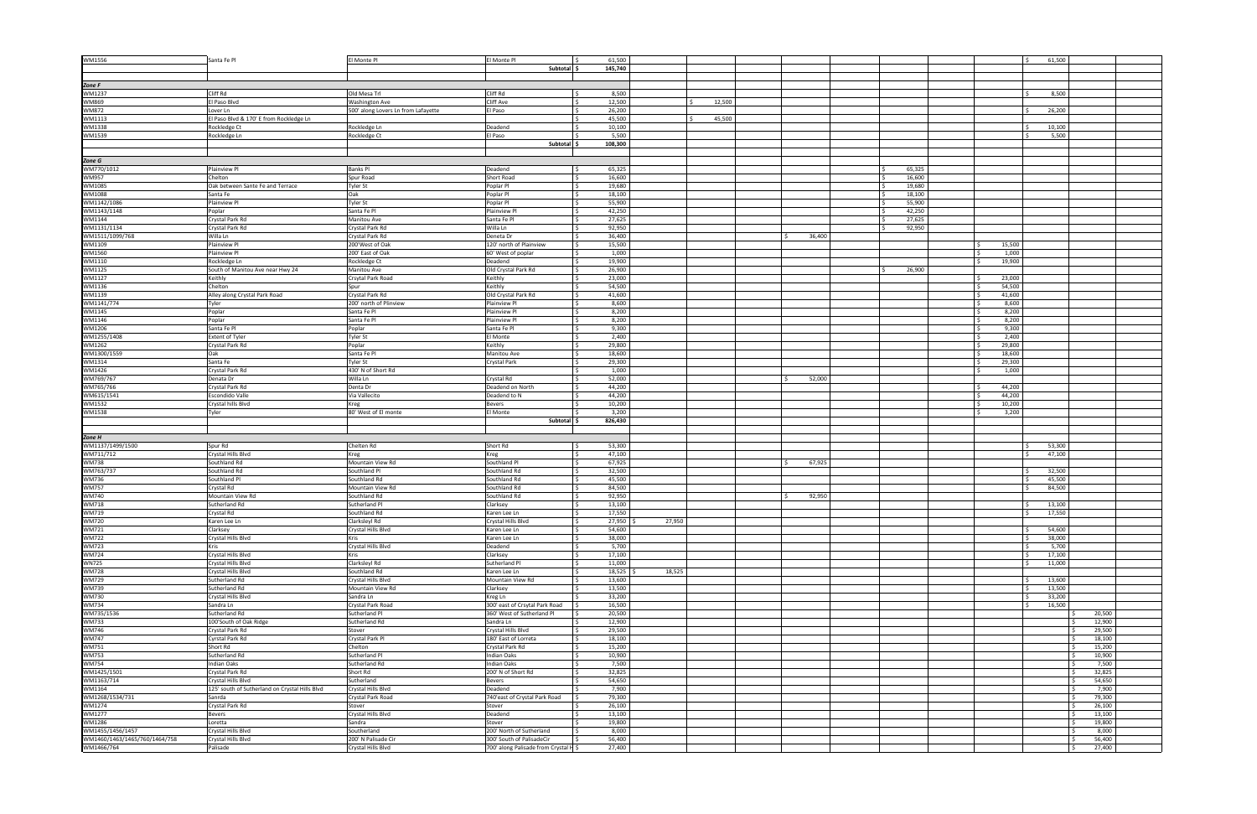| WM1556                        | Santa Fe Pl                                    | El Monte Pl                         | El Monte Pl                           | 61,500<br>IS.   |        |        |        |                   |                  | 61,500 |        |
|-------------------------------|------------------------------------------------|-------------------------------------|---------------------------------------|-----------------|--------|--------|--------|-------------------|------------------|--------|--------|
|                               |                                                |                                     | Subtotal                              | 145,740         |        |        |        |                   |                  |        |        |
|                               |                                                |                                     |                                       |                 |        |        |        |                   |                  |        |        |
| Zone F                        |                                                |                                     |                                       |                 |        |        |        |                   |                  |        |        |
| WM1237                        | Cliff Rd                                       | Old Mesa Trl                        | Cliff Rd                              | 8,500<br>I \$   |        |        |        |                   |                  | 8,500  |        |
| WM869                         | El Paso Blvd                                   | Washington Ave                      | Cliff Ave                             | 12,500          |        | 12,500 |        |                   |                  |        |        |
|                               | Lover Ln                                       |                                     | El Paso                               | 26,200          |        |        |        |                   |                  | 26,200 |        |
| <b>WM872</b>                  |                                                | 500' along Lovers Ln from Lafayette |                                       |                 |        |        |        |                   |                  |        |        |
| WM1113                        | El Paso Blvd & 170' E from Rockledge Ln        |                                     |                                       | 45,500          |        | 45,500 |        |                   |                  |        |        |
| WM1338                        | Rockledge Ct                                   | Rockledge Ln                        | Deadend                               | 10,100          |        |        |        |                   |                  | 10,100 |        |
| WM1539                        | Rockledge Ln                                   | Rockledge Ct                        | El Paso                               | 5,500           |        |        |        |                   |                  | 5,500  |        |
|                               |                                                |                                     | Subtotal \$                           | 108,300         |        |        |        |                   |                  |        |        |
|                               |                                                |                                     |                                       |                 |        |        |        |                   |                  |        |        |
| Zone G                        |                                                |                                     |                                       |                 |        |        |        |                   |                  |        |        |
| WM770/1012                    | Plainview Pl                                   | Banks Pl                            | Deadend                               | 65,325          |        |        |        | 65,325            |                  |        |        |
| <b>WM957</b>                  | Chelton                                        | Spur Road                           | Short Road                            | 16,600          |        |        |        | 16,600            |                  |        |        |
| WM1085                        | Oak between Sante Fe and Terrace               | Tyler St                            | Poplar Pl                             | 19,680          |        |        |        | 19,680            |                  |        |        |
| WM1088                        | Santa Fe                                       | Oak                                 | Poplar Pl                             | 18,100          |        |        |        | 18,100            |                  |        |        |
| WM1142/1086                   | Plainview Pl                                   | Tyler St                            | Poplar Pl                             | 55,900          |        |        |        | 55,900            |                  |        |        |
| WM1143/1148                   | Poplar                                         | Santa Fe Pl                         | Plainview P                           | 42,250<br>l s   |        |        |        | 42,250<br>$\zeta$ |                  |        |        |
| WM1144                        | Crystal Park Rd                                | Manitou Ave                         | Santa Fe Pl                           | 27,625          |        |        |        | 27,625            |                  |        |        |
| WM1131/1134                   | Crystal Park Rd                                | Crystal Park Rd                     | Willa Ln                              | 92,950          |        |        |        | 92,950            |                  |        |        |
| WM1511/1099/768               | Willa Ln                                       | Crystal Park Rd                     | Deneta Dr                             | 36,400          |        |        | 36,400 |                   |                  |        |        |
| WM1109                        | Plainview Pl                                   | 200'West of Oak                     | 120' north of Plainview               | 15,500          |        |        |        |                   | 15,500<br>l s    |        |        |
| WM1560                        | Plainview Pl                                   | 200' East of Oak                    | 60' West of poplar                    | 1,000           |        |        |        |                   | 1,000            |        |        |
| WM1110                        | Rockledge Ln                                   |                                     | <b>Deadend</b>                        | 19,900          |        |        |        |                   | 19,900           |        |        |
|                               | South of Manitou Ave near Hwy 24               | Rockledge Ct                        |                                       | 26,900<br>l s   |        |        |        |                   |                  |        |        |
| WM1125                        |                                                | Manitou Ave                         | Old Crystal Park Rd                   |                 |        |        |        | 26,900            |                  |        |        |
| WM1127                        | Keithly                                        | Crsytal Park Road                   | Keithly                               | 23,000          |        |        |        |                   | 23,000<br>l \$   |        |        |
| WM1136                        | Chelton                                        | Spur                                | Keithly                               | 54,500          |        |        |        |                   | 54,500<br>l \$   |        |        |
| WM1139                        | Alley along Crystal Park Road                  | Crystal Park Rd                     | Old Crystal Park Rd                   | 41,600          |        |        |        |                   | 41,600           |        |        |
| WM1141/774                    | Tyler                                          | 200' north of Plinview              | Plainview Pl                          | 8,600           |        |        |        |                   | 8,600<br>l s     |        |        |
| WM1145                        | Poplar                                         | Santa Fe Pl                         | Plainview Pl                          | 8,200           |        |        |        |                   | 8,200            |        |        |
| WM1146                        | Poplar                                         | Santa Fe Pl                         | Plainview Pl                          | 8,200           |        |        |        |                   | 8,200<br>$\zeta$ |        |        |
| WM1206                        | Santa Fe Pl                                    | Poplar                              | Santa Fe Pl                           | 9,300           |        |        |        |                   | 9,300<br>l s     |        |        |
| WM1255/1408                   | <b>Extent of Tyler</b>                         | Tyler St                            | El Monte                              | 2,400           |        |        |        |                   | 2,400<br>I \$    |        |        |
| WM1262                        | Crystal Park Rd                                | oplar                               | Keithly                               | 29,800          |        |        |        |                   | 29,800           |        |        |
| WM1300/1559                   | Oak                                            | Santa Fe Pl                         | Manitou Ave                           | 18,600          |        |        |        |                   | l s<br>18,600    |        |        |
| WM1314                        | Santa Fe                                       | Tyler St                            | <b>Crystal Park</b>                   | 29,300          |        |        |        |                   | 29,300<br>l s    |        |        |
| WM1426                        | Crystal Park Rd                                | 430' N of Short Rd                  |                                       | 1,000           |        |        |        |                   | 1,000<br>ΙŚ.     |        |        |
| WM769/767                     | Denata Dr                                      | Willa Ln                            | Crystal Rd                            | 52,000          |        |        | 52,000 |                   |                  |        |        |
| WM765/766                     | Crystal Park Rd                                | Denta Dr                            | Deadend on North                      | 44,200          |        |        |        |                   | 44,200<br>l s    |        |        |
|                               | <b>Escondido Valle</b>                         | Via Vallecito                       |                                       | 44,200          |        |        |        |                   | $\sim$           |        |        |
| WM615/1541                    |                                                |                                     | Deadend to N                          |                 |        |        |        |                   | 44,200           |        |        |
| WM1532                        | Crystal hills Blvd                             | reg                                 | Bevers                                | 10,200<br>3,200 |        |        |        |                   | 10,200<br>l \$   |        |        |
| WM1538                        | Tyler                                          | 80' West of El monte                | El Monte                              |                 |        |        |        |                   | 3,200            |        |        |
|                               |                                                |                                     | Subtotal \$                           | 826,430         |        |        |        |                   |                  |        |        |
|                               |                                                |                                     |                                       |                 |        |        |        |                   |                  |        |        |
| Zone H                        |                                                |                                     |                                       |                 |        |        |        |                   |                  |        |        |
| WM1137/1499/1500              | Spur Rd                                        | Chelten Rd                          | Short Rd                              | 53,300<br>l s   |        |        |        |                   |                  | 53,300 |        |
| WM711/712                     | Crystal Hills Blvd                             | Kreg                                | Kreg                                  | 47.100          |        |        |        |                   |                  | 47,100 |        |
| <b>WM738</b>                  | Southland Rd                                   | Mountain View Rd                    | Southland Pl                          | 67,925          |        |        | 67,925 |                   |                  |        |        |
| WM763/737                     | Southland Rd                                   | Southland Pl                        | Southland Rd                          | 32,500          |        |        |        |                   |                  | 32,500 |        |
| <b>WM736</b>                  | Southland Pl                                   | Southland Rd                        | Southland Rd                          | 45,500<br>l s   |        |        |        |                   |                  | 45,500 |        |
| <b>WM757</b>                  | Crystal Rd                                     | Mountain View Rd                    | Southland Rd                          | 84,500          |        |        |        |                   |                  | 84,500 |        |
| <b>WM740</b>                  | Mountain View Rd                               | Southland Rd                        | Southland Rd                          | 92,950          |        |        | 92,950 |                   |                  |        |        |
| <b>WM718</b>                  | Sutherland Rd                                  | Sutherland Pl                       | Clarksey                              | 13,100          |        |        |        |                   |                  | 13,100 |        |
| <b>WM719</b>                  | Crystal Rd                                     | Southland Rd                        | Karen Lee Ln                          | 17.550          |        |        |        |                   |                  | 17550  |        |
| <b>WM720</b>                  | Karen Lee Ln                                   | Clarksleyl Rd                       | Crystal Hills Blvd                    | 27,950          | 27,950 |        |        |                   |                  |        |        |
| WM721                         | Clarksey                                       | rystal Hills Blvd                   | Karen Lee Ln                          | 54,600          |        |        |        |                   |                  | 54,600 |        |
| <b>WM722</b>                  | Crystal Hills Blvd                             | Kris                                | Karen Lee Ln                          | 38,000          |        |        |        |                   |                  | 38,000 |        |
| <b>WM723</b>                  | <b>Kris</b>                                    | Crystal Hills Blvd                  | Deadend                               | 5,700           |        |        |        |                   |                  | 5,700  |        |
| <b>WM724</b>                  | Crystal Hills Blvd                             | Kris                                | Clarksey                              | 17,100          |        |        |        |                   |                  | 17,100 |        |
| <b>WN725</b>                  | Crystal Hills Blvd                             | Clarksleyl Rd                       | Sutherland Pl                         | 11,000          |        |        |        |                   |                  | 11,000 |        |
| <b>WM728</b>                  | Crystal Hills Blvd                             | Southland Rd                        | Karen Lee Ln                          | 18,525          | 18,525 |        |        |                   |                  |        |        |
| <b>WM729</b>                  | Sutherland Rd                                  | Crystal Hills Blvd                  | Mountain View Rd                      | 13,600          |        |        |        |                   |                  | 13,600 |        |
| WM739                         | Sutherland Rd                                  | Mountain View Rd                    | Clarksey                              | 13,500          |        |        |        |                   |                  | 13,500 |        |
| <b>WM730</b>                  |                                                |                                     |                                       | 33,200          |        |        |        |                   |                  | 33,200 |        |
|                               | Crystal Hills Blvd                             | Sandra Ln                           | Kreg Ln                               | 16,500          |        |        |        |                   |                  |        |        |
| <b>WM734</b>                  | Sandra Ln                                      | Crystal Park Road                   | 300' east of Crsytal Park Road        |                 |        |        |        |                   |                  | 16,500 |        |
| WM735/1536                    | Sutherland Rd                                  | Sutherland Pl                       | 360' West of Sutherland Pl            | 20,500          |        |        |        |                   |                  |        | 20,500 |
| <b>WM733</b>                  | 100'South of Oak Ridge                         | Sutherland Rd                       | Sandra Ln                             | 12,900          |        |        |        |                   |                  |        | 12,900 |
| <b>WM746</b>                  | Crystal Park Rd                                | Stover                              | Crystal Hills Blvd                    | 29,500          |        |        |        |                   |                  |        | 29,500 |
| <b>WM747</b>                  | Cyrstal Park Rd                                | Crystal Park Pl                     | 180' East of Lorreta                  | 18,100          |        |        |        |                   |                  |        | 18,100 |
| WM751                         | Short Rd                                       | Chelton                             | Crystal Park Rd                       | 15,200          |        |        |        |                   |                  |        | 15,200 |
| <b>WM753</b>                  | Sutherland Rd                                  | Sutherland Pl                       | Indian Oaks                           | 10,900          |        |        |        |                   |                  |        | 10,900 |
| <b>WM754</b>                  | <b>Indian Oaks</b>                             | Sutherland Rd                       | <b>Indian Oaks</b>                    | 7,500           |        |        |        |                   |                  |        | 7,500  |
| WM1425/1501                   | Crystal Park Rd                                | Short Rd                            | 200' N of Short Rd                    | 32,825          |        |        |        |                   |                  |        | 32,825 |
| WM1163/714                    | Crystal Hills Blvd                             | Sutherland                          | Bevers                                | 54,650          |        |        |        |                   |                  |        | 54,650 |
| WM1164                        | 125' south of Sutherland on Crystal Hills Blvd | Crystal Hills Blvd                  | Deadend                               | 7,900           |        |        |        |                   |                  |        | 7,900  |
| WM1268/1534/731               | Sanrda                                         | Crystal Park Road                   | 740'east of Crystal Park Road         | 79,300          |        |        |        |                   |                  |        | 79,300 |
| WM1274                        | Crystal Park Rd                                | Stover                              | Stover                                | 26,100          |        |        |        |                   |                  |        | 26,100 |
| WM1277                        | <b>Bevers</b>                                  | Crystal Hills Blvd                  | Deadend                               | 13,100          |        |        |        |                   |                  |        | 13,100 |
| WM1286                        | Loretta                                        | Sandra                              | Stover                                | 19,800          |        |        |        |                   |                  |        | 19,800 |
| WM1455/1456/1457              | Crystal Hills Blvd                             | Southerland                         | 200' North of Sutherland              | 8,000           |        |        |        |                   |                  |        | 8,000  |
| WM1460/1463/1465/760/1464/758 | Crystal Hills Blvd                             | 200' N Palisade Cir                 | 300' South of PalisadeCir             | 56,400          |        |        |        |                   |                  |        | 56,400 |
|                               |                                                |                                     |                                       |                 |        |        |        |                   |                  |        |        |
| WM1466/764                    | Palisade                                       | Crystal Hills Blvd                  | 700' along Palisade from Crystal H \$ | 27,400          |        |        |        |                   |                  |        | 27,400 |